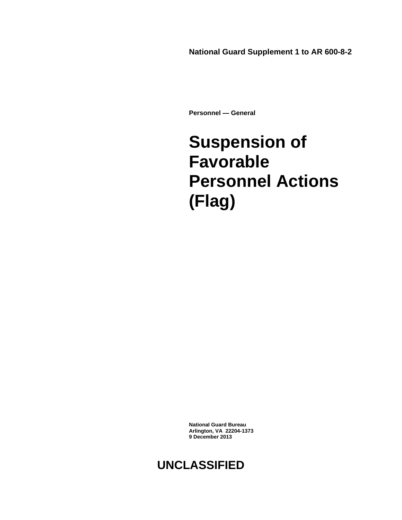**National Guard Supplement 1 to AR 600-8-2**

**Personnel — General**

## **Suspension of Favorable Personnel Actions (Flag)**

**National Guard Bureau Arlington, VA 22204-1373 9 December 2013**

## **UNCLASSIFIED**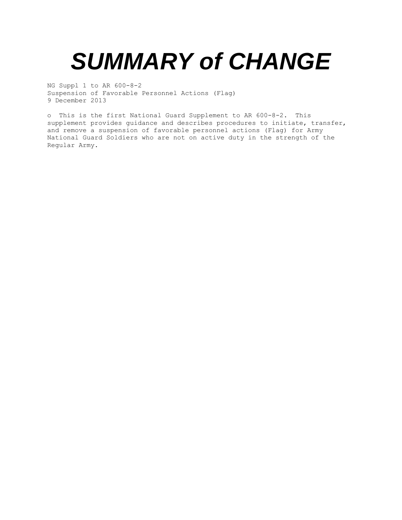# *SUMMARY of CHANGE*

NG Suppl 1 to AR 600-8-2 Suspension of Favorable Personnel Actions (Flag) 9 December 2013

o This is the first National Guard Supplement to AR 600-8-2. This supplement provides guidance and describes procedures to initiate, transfer, and remove a suspension of favorable personnel actions (Flag) for Army National Guard Soldiers who are not on active duty in the strength of the Regular Army.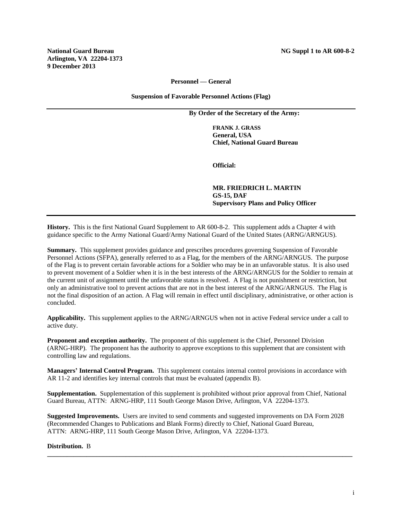#### **Personnel — General**

**Suspension of Favorable Personnel Actions (Flag)**

**By Order of the Secretary of the Army:**

**FRANK J. GRASS General, USA Chief, National Guard Bureau**

**Official:**

**MR. FRIEDRICH L. MARTIN GS-15, DAF Supervisory Plans and Policy Officer**

**History.** This is the first National Guard Supplement to AR 600-8-2. This supplement adds a Chapter 4 with guidance specific to the Army National Guard/Army National Guard of the United States (ARNG/ARNGUS).

**Summary.** This supplement provides guidance and prescribes procedures governing Suspension of Favorable Personnel Actions (SFPA), generally referred to as a Flag, for the members of the ARNG/ARNGUS. The purpose of the Flag is to prevent certain favorable actions for a Soldier who may be in an unfavorable status. It is also used to prevent movement of a Soldier when it is in the best interests of the ARNG/ARNGUS for the Soldier to remain at the current unit of assignment until the unfavorable status is resolved. A Flag is not punishment or restriction, but only an administrative tool to prevent actions that are not in the best interest of the ARNG/ARNGUS. The Flag is not the final disposition of an action. A Flag will remain in effect until disciplinary, administrative, or other action is concluded.

**Applicability.** This supplement applies to the ARNG/ARNGUS when not in active Federal service under a call to active duty.

**Proponent and exception authority.** The proponent of this supplement is the Chief, Personnel Division (ARNG-HRP). The proponent has the authority to approve exceptions to this supplement that are consistent with controlling law and regulations.

**Managers' Internal Control Program.** This supplement contains internal control provisions in accordance with AR 11-2 and identifies key internal controls that must be evaluated (appendix B).

**Supplementation.** Supplementation of this supplement is prohibited without prior approval from Chief, National Guard Bureau, ATTN: ARNG-HRP, 111 South George Mason Drive, Arlington, VA 22204-1373.

**Suggested Improvements.** Users are invited to send comments and suggested improvements on DA Form 2028 (Recommended Changes to Publications and Blank Forms) directly to Chief, National Guard Bureau, ATTN: ARNG-HRP, 111 South George Mason Drive, Arlington, VA 22204-1373.

**\_\_\_\_\_\_\_\_\_\_\_\_\_\_\_\_\_\_\_\_\_\_\_\_\_\_\_\_\_\_\_\_\_\_\_\_\_\_\_\_\_\_\_\_\_\_\_\_\_\_\_\_\_\_\_\_\_\_\_\_\_\_\_\_\_\_\_\_\_\_\_\_\_\_\_\_\_\_\_\_\_\_\_\_\_\_\_\_\_\_\_\_\_**

#### **Distribution.** B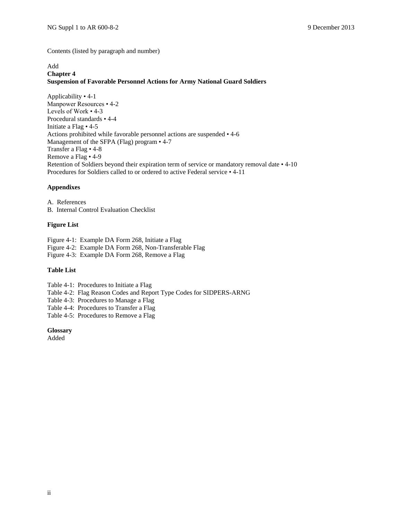Contents (listed by paragraph and number)

#### Add **Chapter 4 Suspension of Favorable Personnel Actions for Army National Guard Soldiers**

Applicability • 4-1 Manpower Resources • 4-2 Levels of Work • 4-3 Procedural standards • 4-4 Initiate a Flag • 4-5 Actions prohibited while favorable personnel actions are suspended • 4-6 Management of the SFPA (Flag) program • 4-7 Transfer a Flag • 4-8 Remove a Flag • 4-9 Retention of Soldiers beyond their expiration term of service or mandatory removal date • 4-10 Procedures for Soldiers called to or ordered to active Federal service • 4-11

#### **Appendixes**

A. References B. Internal Control Evaluation Checklist

#### **Figure List**

Figure 4-1: Example DA Form 268, Initiate a Flag

Figure 4-2: Example DA Form 268, Non-Transferable Flag

Figure 4-3: Example DA Form 268, Remove a Flag

#### **Table List**

Table 4-1: Procedures to Initiate a Flag

Table 4-2: Flag Reason Codes and Report Type Codes for SIDPERS-ARNG

Table 4-3: Procedures to Manage a Flag

Table 4-4: Procedures to Transfer a Flag

Table 4-5: Procedures to Remove a Flag

#### **Glossary**

Added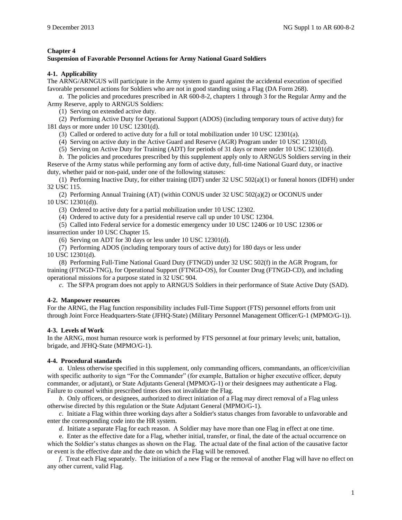#### **Chapter 4**

#### **Suspension of Favorable Personnel Actions for Army National Guard Soldiers**

#### **4-1. Applicability**

The ARNG/ARNGUS will participate in the Army system to guard against the accidental execution of specified favorable personnel actions for Soldiers who are not in good standing using a Flag (DA Form 268).

*a*. The policies and procedures prescribed in AR 600-8-2, chapters 1 through 3 for the Regular Army and the Army Reserve, apply to ARNGUS Soldiers:

(1) Serving on extended active duty.

(2) Performing Active Duty for Operational Support (ADOS) (including temporary tours of active duty) for 181 days or more under 10 USC 12301(d).

(3) Called or ordered to active duty for a full or total mobilization under 10 USC 12301(a).

(4) Serving on active duty in the Active Guard and Reserve (AGR) Program under 10 USC 12301(d).

(5) Serving on Active Duty for Training (ADT) for periods of 31 days or more under 10 USC 12301(d).

*b*. The policies and procedures prescribed by this supplement apply only to ARNGUS Soldiers serving in their Reserve of the Army status while performing any form of active duty, full-time National Guard duty, or inactive duty, whether paid or non-paid, under one of the following statuses:

(1) Performing Inactive Duty, for either training (IDT) under 32 USC 502(a)(1) or funeral honors (IDFH) under 32 USC 115.

(2) Performing Annual Training (AT) (within CONUS under 32 USC 502(a)(2) or OCONUS under 10 USC 12301(d)).

(3) Ordered to active duty for a partial mobilization under 10 USC 12302.

(4) Ordered to active duty for a presidential reserve call up under 10 USC 12304.

(5) Called into Federal service for a domestic emergency under 10 USC 12406 or 10 USC 12306 or insurrection under 10 USC Chapter 15.

(6) Serving on ADT for 30 days or less under 10 USC 12301(d).

(7) Performing ADOS (including temporary tours of active duty) for 180 days or less under 10 USC 12301(d).

(8) Performing Full-Time National Guard Duty (FTNGD) under 32 USC 502(f) in the AGR Program, for training (FTNGD-TNG), for Operational Support (FTNGD-OS), for Counter Drug (FTNGD-CD), and including operational missions for a purpose stated in 32 USC 904.

*c*. The SFPA program does not apply to ARNGUS Soldiers in their performance of State Active Duty (SAD).

#### **4-2. Manpower resources**

For the ARNG, the Flag function responsibility includes Full-Time Support (FTS) personnel efforts from unit through Joint Force Headquarters-State (JFHQ-State) (Military Personnel Management Officer/G-1 (MPMO/G-1)).

#### **4-3. Levels of Work**

In the ARNG, most human resource work is performed by FTS personnel at four primary levels; unit, battalion, brigade, and JFHQ-State (MPMO/G-1).

#### **4-4. Procedural standards**

*a*. Unless otherwise specified in this supplement, only commanding officers, commandants, an officer/civilian with specific authority to sign "For the Commander" (for example, Battalion or higher executive officer, deputy commander, or adjutant), or State Adjutants General (MPMO/G-1) or their designees may authenticate a Flag. Failure to counsel within prescribed times does not invalidate the Flag.

*b*. Only officers, or designees, authorized to direct initiation of a Flag may direct removal of a Flag unless otherwise directed by this regulation or the State Adjutant General (MPMO/G-1).

*c*. Initiate a Flag within three working days after a Soldier's status changes from favorable to unfavorable and enter the corresponding code into the HR system.

*d*. Initiate a separate Flag for each reason. A Soldier may have more than one Flag in effect at one time.

e. Enter as the effective date for a Flag, whether initial, transfer, or final, the date of the actual occurrence on which the Soldier's status changes as shown on the Flag. The actual date of the final action of the causative factor or event is the effective date and the date on which the Flag will be removed.

*f*. Treat each Flag separately. The initiation of a new Flag or the removal of another Flag will have no effect on any other current, valid Flag.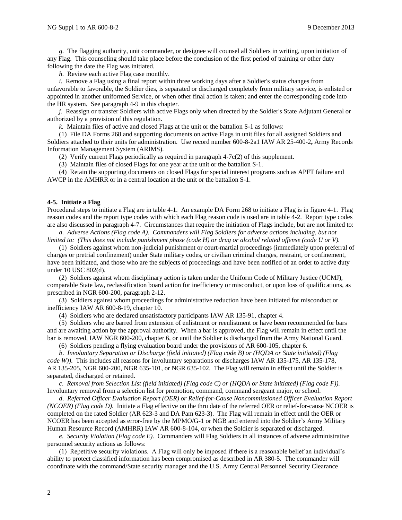*g.* The flagging authority, unit commander, or designee will counsel all Soldiers in writing, upon initiation of any Flag. This counseling should take place before the conclusion of the first period of training or other duty following the date the Flag was initiated.

*h.* Review each active Flag case monthly.

*i*. Remove a Flag using a final report within three working days after a Soldier's status changes from unfavorable to favorable, the Soldier dies, is separated or discharged completely from military service, is enlisted or appointed in another uniformed Service, or when other final action is taken; and enter the corresponding code into the HR system. See paragraph 4-9 in this chapter.

*j*. Reassign or transfer Soldiers with active Flags only when directed by the Soldier's State Adjutant General or authorized by a provision of this regulation.

*k.* Maintain files of active and closed Flags at the unit or the battalion S-1 as follows:

(1) File DA Forms 268 and supporting documents on active Flags in unit files for all assigned Soldiers and Soldiers attached to their units for administration. Use record number 600-8-2a1 IAW AR 25-400-2**,** Army Records Information Management System (ARIMS).

(2) Verify current Flags periodically as required in paragraph 4-7c(2) of this supplement.

(3) Maintain files of closed Flags for one year at the unit or the battalion S-1.

(4) Retain the supporting documents on closed Flags for special interest programs such as APFT failure and AWCP in the AMHRR or in a central location at the unit or the battalion S-1.

#### **4-5. Initiate a Flag**

Procedural steps to initiate a Flag are in table 4-1. An example DA Form 268 to initiate a Flag is in figure 4-1. Flag reason codes and the report type codes with which each Flag reason code is used are in table 4-2. Report type codes are also discussed in paragraph 4-7. Circumstances that require the initiation of Flags include, but are not limited to:

*a. Adverse Actions (Flag code A). Commanders will Flag Soldiers for adverse actions including, but not limited to: (This does not include punishment phase (code H) or drug or alcohol related offense (code U or V).*

(1) Soldiers against whom non-judicial punishment or court-martial proceedings (immediately upon preferral of charges or pretrial confinement) under State military codes, or civilian criminal charges, restraint, or confinement, have been initiated, and those who are the subjects of proceedings and have been notified of an order to active duty under 10 USC 802(d).

(2) Soldiers against whom disciplinary action is taken under the Uniform Code of Military Justice (UCMJ), comparable State law, reclassification board action for inefficiency or misconduct, or upon loss of qualifications, as prescribed in NGR 600-200, paragraph 2-12.

(3) Soldiers against whom proceedings for administrative reduction have been initiated for misconduct or inefficiency IAW AR 600-8-19, chapter 10.

(4) Soldiers who are declared unsatisfactory participants IAW AR 135-91, chapter 4.

(5) Soldiers who are barred from extension of enlistment or reenlistment or have been recommended for bars and are awaiting action by the approval authority. When a bar is approved, the Flag will remain in effect until the bar is removed, IAW NGR 600-200, chapter 6, or until the Soldier is discharged from the Army National Guard.

(6) Soldiers pending a flying evaluation board under the provisions of AR 600-105, chapter 6.

*b*. *Involuntary Separation or Discharge (field initiated) (Flag code B) or (HQDA or State initiated) (Flag code W))*. This includes all reasons for involuntary separations or discharges IAW AR 135-175, AR 135-178, AR 135-205, NGR 600-200, NGR 635-101, or NGR 635-102. The Flag will remain in effect until the Soldier is separated, discharged or retained.

*c*. *Removal from Selection List (field initiated) (Flag code C) or (HQDA or State initiated) (Flag code F)).*  Involuntary removal from a selection list for promotion, command, command sergeant major, or school.

*d*. *Referred Officer Evaluation Report (OER) or Relief-for-Cause Noncommissioned Officer Evaluation Report (NCOER) (Flag code D)*. Initiate a Flag effective on the thru date of the referred OER or relief-for-cause NCOER is completed on the rated Soldier (AR 623-3 and DA Pam 623-3). The Flag will remain in effect until the OER or NCOER has been accepted as error-free by the MPMO/G-1 or NGB and entered into the Soldier's Army Military Human Resource Record (AMHRR) IAW AR 600-8-104, or when the Soldier is separated or discharged.

*e*. *Security Violation (Flag code E).* Commanders will Flag Soldiers in all instances of adverse administrative personnel security actions as follows:

(1) Repetitive security violations. A Flag will only be imposed if there is a reasonable belief an individual's ability to protect classified information has been compromised as described in AR 380-5. The commander will coordinate with the command/State security manager and the U.S. Army Central Personnel Security Clearance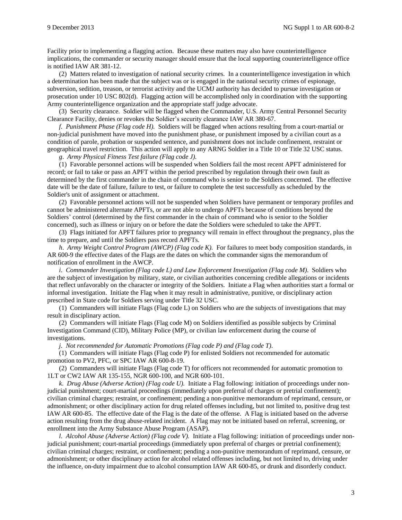Facility prior to implementing a flagging action. Because these matters may also have counterintelligence implications, the commander or security manager should ensure that the local supporting counterintelligence office is notified IAW AR 381-12.

(2) Matters related to investigation of national security crimes. In a counterintelligence investigation in which a determination has been made that the subject was or is engaged in the national security crimes of espionage, subversion, sedition, treason, or terrorist activity and the UCMJ authority has decided to pursue investigation or prosecution under 10 USC 802(d). Flagging action will be accomplished only in coordination with the supporting Army counterintelligence organization and the appropriate staff judge advocate.

(3) Security clearance. Soldier will be flagged when the Commander, U.S. Army Central Personnel Security Clearance Facility, denies or revokes the Soldier's security clearance IAW AR 380-67.

*f*. *Punishment Phase (Flag code H).* Soldiers will be flagged when actions resulting from a court-martial or non-judicial punishment have moved into the punishment phase, or punishment imposed by a civilian court as a condition of parole, probation or suspended sentence, and punishment does not include confinement, restraint or geographical travel restriction. This action will apply to any ARNG Soldier in a Title 10 or Title 32 USC status.

*g*. *Army Physical Fitness Test failure (Flag code J).*

(1) Favorable personnel actions will be suspended when Soldiers fail the most recent APFT administered for record; or fail to take or pass an APFT within the period prescribed by regulation through their own fault as determined by the first commander in the chain of command who is senior to the Soldiers concerned. The effective date will be the date of failure, failure to test, or failure to complete the test successfully as scheduled by the Soldier's unit of assignment or attachment.

(2) Favorable personnel actions will not be suspended when Soldiers have permanent or temporary profiles and cannot be administered alternate APFTs, or are not able to undergo APFTs because of conditions beyond the Soldiers' control (determined by the first commander in the chain of command who is senior to the Soldier concerned), such as illness or injury on or before the date the Soldiers were scheduled to take the APFT.

(3) Flags initiated for APFT failures prior to pregnancy will remain in effect throughout the pregnancy, plus the time to prepare, and until the Soldiers pass record APFTs.

*h*. *Army Weight Control Program (AWCP) (Flag code K).* For failures to meet body composition standards, in AR 600-9 the effective dates of the Flags are the dates on which the commander signs the memorandum of notification of enrollment in the AWCP.

*i*. *Commander Investigation (Flag code L) and Law Enforcement Investigation (Flag code M)*. Soldiers who are the subject of investigation by military, state, or civilian authorities concerning credible allegations or incidents that reflect unfavorably on the character or integrity of the Soldiers. Initiate a Flag when authorities start a formal or informal investigation. Initiate the Flag when it may result in administrative, punitive, or disciplinary action prescribed in State code for Soldiers serving under Title 32 USC.

(1) Commanders will initiate Flags (Flag code L) on Soldiers who are the subjects of investigations that may result in disciplinary action.

(2) Commanders will initiate Flags (Flag code M) on Soldiers identified as possible subjects by Criminal Investigation Command (CID), Military Police (MP), or civilian law enforcement during the course of investigations.

*j*. *Not recommended for Automatic Promotions (Flag code P) and (Flag code T)*.

(1) Commanders will initiate Flags (Flag code P) for enlisted Soldiers not recommended for automatic promotion to PV2, PFC, or SPC IAW AR 600-8-19.

(2) Commanders will initiate Flags (Flag code T) for officers not recommended for automatic promotion to 1LT or CW2 IAW AR 135-155, NGR 600-100, and NGR 600-101.

*k*. *Drug Abuse (Adverse Action) (Flag code U).* Initiate a Flag following: initiation of proceedings under nonjudicial punishment; court-martial proceedings (immediately upon preferral of charges or pretrial confinement); civilian criminal charges; restraint, or confinement; pending a non-punitive memorandum of reprimand, censure, or admonishment; or other disciplinary action for drug related offenses including, but not limited to, positive drug test IAW AR 600-85. The effective date of the Flag is the date of the offense. A Flag is initiated based on the adverse action resulting from the drug abuse-related incident. A Flag may not be initiated based on referral, screening, or enrollment into the Army Substance Abuse Program (ASAP).

*l*. *Alcohol Abuse (Adverse Action) (Flag code V).* Initiate a Flag following: initiation of proceedings under nonjudicial punishment; court-martial proceedings (immediately upon preferral of charges or pretrial confinement); civilian criminal charges; restraint, or confinement; pending a non-punitive memorandum of reprimand, censure, or admonishment; or other disciplinary action for alcohol related offenses including, but not limited to, driving under the influence, on-duty impairment due to alcohol consumption IAW AR 600-85, or drunk and disorderly conduct.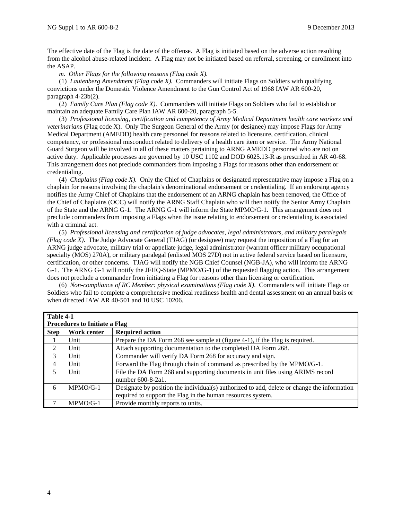The effective date of the Flag is the date of the offense. A Flag is initiated based on the adverse action resulting from the alcohol abuse-related incident. A Flag may not be initiated based on referral, screening, or enrollment into the ASAP.

*m*. *Other Flags for the following reasons (Flag code X).*

(1) *Lautenberg Amendment (Flag code X).* Commanders will initiate Flags on Soldiers with qualifying convictions under the Domestic Violence Amendment to the Gun Control Act of 1968 IAW AR 600-20, paragraph 4-23b(2).

(2) *Family Care Plan (Flag code X)*. Commanders will initiate Flags on Soldiers who fail to establish or maintain an adequate Family Care Plan IAW AR 600-20, paragraph 5-5.

(3) *Professional licensing, certification and competency of Army Medical Department health care workers and veterinarians* (Flag code X). Only The Surgeon General of the Army (or designee) may impose Flags for Army Medical Department (AMEDD) health care personnel for reasons related to licensure, certification, clinical competency, or professional misconduct related to delivery of a health care item or service. The Army National Guard Surgeon will be involved in all of these matters pertaining to ARNG AMEDD personnel who are not on active duty. Applicable processes are governed by 10 USC 1102 and DOD 6025.13-R as prescribed in AR 40-68. This arrangement does not preclude commanders from imposing a Flags for reasons other than endorsement or credentialing.

(4) *Chaplains (Flag code X).* Only the Chief of Chaplains or designated representative may impose a Flag on a chaplain for reasons involving the chaplain's denominational endorsement or credentialing. If an endorsing agency notifies the Army Chief of Chaplains that the endorsement of an ARNG chaplain has been removed, the Office of the Chief of Chaplains (OCC) will notify the ARNG Staff Chaplain who will then notify the Senior Army Chaplain of the State and the ARNG G-1. The ARNG G-1 will inform the State MPMO/G-1. This arrangement does not preclude commanders from imposing a Flags when the issue relating to endorsement or credentialing is associated with a criminal act.

(5) *Professional licensing and certification of judge advocates, legal administrators, and military paralegals (Flag code X)*. The Judge Advocate General (TJAG) (or designee) may request the imposition of a Flag for an ARNG judge advocate, military trial or appellate judge, legal administrator (warrant officer military occupational specialty (MOS) 270A), or military paralegal (enlisted MOS 27D) not in active federal service based on licensure, certification, or other concerns. TJAG will notify the NGB Chief Counsel (NGB-JA), who will inform the ARNG G-1. The ARNG G-1 will notify the JFHQ-State (MPMO/G-1) of the requested flagging action. This arrangement does not preclude a commander from initiating a Flag for reasons other than licensing or certification.

(6) *Non-compliance of RC Member: physical examinations (Flag code X)*. Commanders will initiate Flags on Soldiers who fail to complete a comprehensive medical readiness health and dental assessment on an annual basis or when directed IAW AR 40-501 and 10 USC 10206.

| Table 4-1   |                                      |                                                                                             |  |
|-------------|--------------------------------------|---------------------------------------------------------------------------------------------|--|
|             | <b>Procedures to Initiate a Flag</b> |                                                                                             |  |
| <b>Step</b> | Work center                          | <b>Required action</b>                                                                      |  |
|             | Unit                                 | Prepare the DA Form 268 see sample at (figure 4-1), if the Flag is required.                |  |
| 2           | Unit                                 | Attach supporting documentation to the completed DA Form 268.                               |  |
| 3           | Unit                                 | Commander will verify DA Form 268 for accuracy and sign.                                    |  |
| 4           | Unit                                 | Forward the Flag through chain of command as prescribed by the MPMO/G-1.                    |  |
| 5           | Unit                                 | File the DA Form 268 and supporting documents in unit files using ARIMS record              |  |
|             |                                      | number 600-8-2a1.                                                                           |  |
| 6           | $MPMO/G-1$                           | Designate by position the individual(s) authorized to add, delete or change the information |  |
|             |                                      | required to support the Flag in the human resources system.                                 |  |
|             | $MPMO/G-1$                           | Provide monthly reports to units.                                                           |  |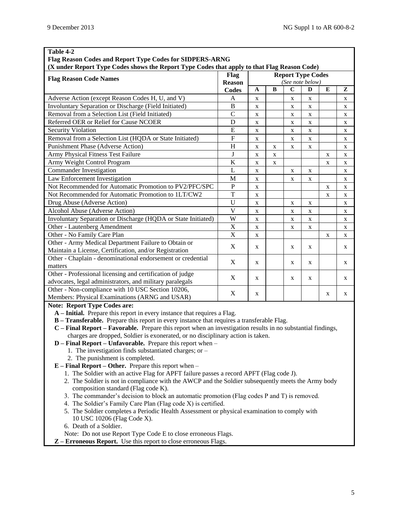| Table 4-2<br>Flag Reason Codes and Report Type Codes for SIDPERS-ARNG                                       |                |             |          |             |                          |             |   |
|-------------------------------------------------------------------------------------------------------------|----------------|-------------|----------|-------------|--------------------------|-------------|---|
| (X under Report Type Codes shows the Report Type Codes that apply to that Flag Reason Code)                 |                |             |          |             |                          |             |   |
| <b>Flag Reason Code Names</b>                                                                               | Flag           |             |          |             | <b>Report Type Codes</b> |             |   |
|                                                                                                             | <b>Reason</b>  |             |          |             | (See note below)         |             |   |
|                                                                                                             | <b>Codes</b>   | A           | $\bf{B}$ | $\mathbf C$ | D                        | E           | z |
| Adverse Action (except Reason Codes H, U, and V)                                                            | A              | X           |          | X           | X                        |             | X |
| Involuntary Separation or Discharge (Field Initiated)                                                       | $\bf{B}$       | X           |          | $\mathbf X$ | X                        |             | X |
| Removal from a Selection List (Field Initiated)                                                             | $\mathcal{C}$  | X           |          | $\mathbf X$ | X                        |             | X |
| Referred OER or Relief for Cause NCOER                                                                      | D              | X           |          | $\mathbf X$ | X                        |             | X |
| <b>Security Violation</b>                                                                                   | E              | X           |          | X           | X                        |             | X |
| Removal from a Selection List (HQDA or State Initiated)                                                     | $\overline{F}$ | X           |          | $\mathbf X$ | X                        |             | X |
| Punishment Phase (Adverse Action)                                                                           | $\overline{H}$ | X           | X        | $\mathbf X$ | X                        |             | X |
| Army Physical Fitness Test Failure                                                                          | $\bf J$        | X           | X        |             |                          | X           | X |
| Army Weight Control Program                                                                                 | K              | X           | X        |             |                          | X           | X |
| Commander Investigation                                                                                     | L              | X           |          | X           | X                        |             | X |
| Law Enforcement Investigation                                                                               | M              | X           |          | $\mathbf X$ | X                        |             | X |
| Not Recommended for Automatic Promotion to PV2/PFC/SPC                                                      | $\mathbf P$    | X           |          |             |                          | $\mathbf X$ | X |
| Not Recommended for Automatic Promotion to 1LT/CW2                                                          | T              | X           |          |             |                          | X           | X |
| Drug Abuse (Adverse Action)                                                                                 | U              | X           |          | X           | X                        |             | X |
| Alcohol Abuse (Adverse Action)                                                                              | $\overline{V}$ | $\mathbf X$ |          | $\mathbf X$ | X                        |             | X |
| Involuntary Separation or Discharge (HQDA or State Initiated)                                               | W              | X           |          | $\mathbf X$ | X                        |             | X |
| Other - Lautenberg Amendment                                                                                | $\mathbf X$    | X           |          | X           | X                        |             | X |
| Other - No Family Care Plan                                                                                 | X              | $\mathbf X$ |          |             |                          | X           | X |
| Other - Army Medical Department Failure to Obtain or                                                        | X              |             |          |             |                          |             |   |
| Maintain a License, Certification, and/or Registration                                                      |                | X           |          | X           | X                        |             | X |
| Other - Chaplain - denominational endorsement or credential                                                 | X              | X           |          | X           | X                        |             | X |
| matters                                                                                                     |                |             |          |             |                          |             |   |
| Other - Professional licensing and certification of judge                                                   | X              | X           |          | X           | X                        |             | X |
| advocates, legal administrators, and military paralegals                                                    |                |             |          |             |                          |             |   |
| Other - Non-compliance with 10 USC Section 10206,                                                           | X              | X           |          |             |                          | X           | X |
| Members: Physical Examinations (ARNG and USAR)                                                              |                |             |          |             |                          |             |   |
| <b>Note: Report Type Codes are:</b>                                                                         |                |             |          |             |                          |             |   |
| A – Initial. Prepare this report in every instance that requires a Flag.                                    |                |             |          |             |                          |             |   |
| <b>B</b> - Transferable. Prepare this report in every instance that requires a transferable Flag.           |                |             |          |             |                          |             |   |
| C – Final Report – Favorable. Prepare this report when an investigation results in no substantial findings, |                |             |          |             |                          |             |   |
| charges are dropped, Soldier is exonerated, or no disciplinary action is taken.                             |                |             |          |             |                          |             |   |
| $D$ – Final Report – Unfavorable. Prepare this report when –                                                |                |             |          |             |                          |             |   |
| 1. The investigation finds substantiated charges; or -<br>2. The punishment is completed.                   |                |             |          |             |                          |             |   |
| $E$ – Final Report – Other. Prepare this report when –                                                      |                |             |          |             |                          |             |   |
| 1. The Soldier with an active Flag for APFT failure passes a record APFT (Flag code J).                     |                |             |          |             |                          |             |   |
| 2. The Soldier is not in compliance with the AWCP and the Soldier subsequently meets the Army body          |                |             |          |             |                          |             |   |
| composition standard (Flag code K).                                                                         |                |             |          |             |                          |             |   |
| 3. The commander's decision to block an automatic promotion (Flag codes P and T) is removed.                |                |             |          |             |                          |             |   |

- 4. The Soldier's Family Care Plan (Flag code X) is certified.
	- 5. The Soldier completes a Periodic Health Assessment or physical examination to comply with 10 USC 10206 (Flag Code X).
	- 6. Death of a Soldier.
	- Note: Do not use Report Type Code E to close erroneous Flags.
- **Z – Erroneous Report.** Use this report to close erroneous Flags.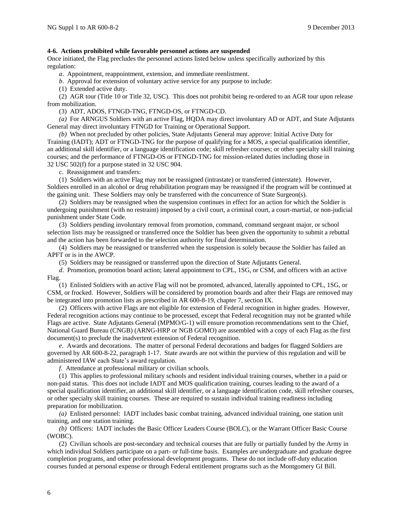#### **4-6. Actions prohibited while favorable personnel actions are suspended**

Once initiated, the Flag precludes the personnel actions listed below unless specifically authorized by this regulation:

*a*. Appointment, reappointment, extension, and immediate reenlistment.

*b*. Approval for extension of voluntary active service for any purpose to include:

(1) Extended active duty.

(2) AGR tour (Title 10 or Title 32, USC). This does not prohibit being re-ordered to an AGR tour upon release from mobilization.

(3) ADT, ADOS, FTNGD-TNG, FTNGD-OS, or FTNGD-CD.

*(a)* For ARNGUS Soldiers with an active Flag, HQDA may direct involuntary AD or ADT, and State Adjutants General may direct involuntary FTNGD for Training or Operational Support.

*(b)* When not precluded by other policies, State Adjutants General may approve: Initial Active Duty for Training (IADT); ADT or FTNGD-TNG for the purpose of qualifying for a MOS, a special qualification identifier, an additional skill identifier, or a language identification code; skill refresher courses; or other specialty skill training courses; and the performance of FTNGD-OS or FTNGD-TNG for mission-related duties including those in 32 USC 502(f) for a purpose stated in 32 USC 904.

*c*. Reassignment and transfers:

(1) Soldiers with an active Flag may not be reassigned (intrastate) or transferred (interstate). However, Soldiers enrolled in an alcohol or drug rehabilitation program may be reassigned if the program will be continued at the gaining unit. These Soldiers may only be transferred with the concurrence of State Surgeon(s).

(2) Soldiers may be reassigned when the suspension continues in effect for an action for which the Soldier is undergoing punishment (with no restraint) imposed by a civil court, a criminal court, a court-martial, or non-judicial punishment under State Code.

(3) Soldiers pending involuntary removal from promotion, command, command sergeant major, or school selection lists may be reassigned or transferred once the Soldier has been given the opportunity to submit a rebuttal and the action has been forwarded to the selection authority for final determination.

(4) Soldiers may be reassigned or transferred when the suspension is solely because the Soldier has failed an APFT or is in the AWCP.

(5) Soldiers may be reassigned or transferred upon the direction of State Adjutants General.

*d*. Promotion, promotion board action; lateral appointment to CPL, 1SG, or CSM, and officers with an active Flag.

(1) Enlisted Soldiers with an active Flag will not be promoted, advanced, laterally appointed to CPL, 1SG, or CSM, or frocked. However, Soldiers will be considered by promotion boards and after their Flags are removed may be integrated into promotion lists as prescribed in AR 600-8-19, chapter 7, section IX.

(2) Officers with active Flags are not eligible for extension of Federal recognition in higher grades. However, Federal recognition actions may continue to be processed, except that Federal recognition may not be granted while Flags are active. State Adjutants General (MPMO/G-1) will ensure promotion recommendations sent to the Chief, National Guard Bureau (CNGB) (ARNG-HRP or NGB GOMO) are assembled with a copy of each Flag as the first document(s) to preclude the inadvertent extension of Federal recognition.

*e*. Awards and decorations. The matter of personal Federal decorations and badges for flagged Soldiers are governed by AR 600-8-22, paragraph 1-17. State awards are not within the purview of this regulation and will be administered IAW each State's award regulation.

*f*. Attendance at professional military or civilian schools.

(1) This applies to professional military schools and resident individual training courses, whether in a paid or non-paid status. This does not include IADT and MOS qualification training, courses leading to the award of a special qualification identifier, an additional skill identifier, or a language identification code, skill refresher courses, or other specialty skill training courses. These are required to sustain individual training readiness including preparation for mobilization.

*(a)* Enlisted personnel: IADT includes basic combat training, advanced individual training, one station unit training, and one station training.

*(b)* Officers: IADT includes the Basic Officer Leaders Course (BOLC), or the Warrant Officer Basic Course (WOBC).

(2) Civilian schools are post-secondary and technical courses that are fully or partially funded by the Army in which individual Soldiers participate on a part- or full-time basis. Examples are undergraduate and graduate degree completion programs, and other professional development programs. These do not include off-duty education courses funded at personal expense or through Federal entitlement programs such as the Montgomery GI Bill.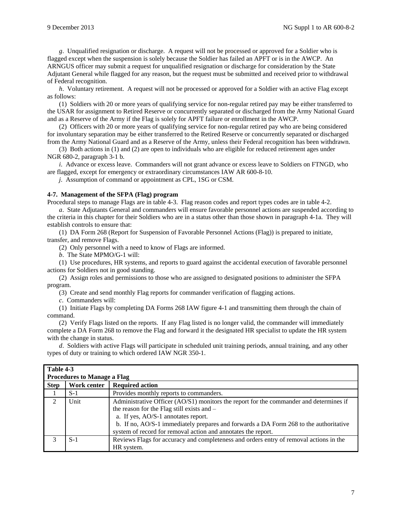*g*. Unqualified resignation or discharge. A request will not be processed or approved for a Soldier who is flagged except when the suspension is solely because the Soldier has failed an APFT or is in the AWCP. An ARNGUS officer may submit a request for unqualified resignation or discharge for consideration by the State Adjutant General while flagged for any reason, but the request must be submitted and received prior to withdrawal of Federal recognition.

*h*. Voluntary retirement. A request will not be processed or approved for a Soldier with an active Flag except as follows:

(1) Soldiers with 20 or more years of qualifying service for non-regular retired pay may be either transferred to the USAR for assignment to Retired Reserve or concurrently separated or discharged from the Army National Guard and as a Reserve of the Army if the Flag is solely for APFT failure or enrollment in the AWCP.

(2) Officers with 20 or more years of qualifying service for non-regular retired pay who are being considered for involuntary separation may be either transferred to the Retired Reserve or concurrently separated or discharged from the Army National Guard and as a Reserve of the Army, unless their Federal recognition has been withdrawn.

(3) Both actions in (1) and (2) are open to individuals who are eligible for reduced retirement ages under NGR 680-2, paragraph 3-1 b.

*i*. Advance or excess leave. Commanders will not grant advance or excess leave to Soldiers on FTNGD, who are flagged, except for emergency or extraordinary circumstances IAW AR 600-8-10.

*j*. Assumption of command or appointment as CPL, 1SG or CSM.

#### **4-7. Management of the SFPA (Flag) program**

Procedural steps to manage Flags are in table 4-3. Flag reason codes and report types codes are in table 4-2. *a*. State Adjutants General and commanders will ensure favorable personnel actions are suspended according to the criteria in this chapter for their Soldiers who are in a status other than those shown in paragraph 4-1a. They will establish controls to ensure that:

(1) DA Form 268 (Report for Suspension of Favorable Personnel Actions (Flag)) is prepared to initiate, transfer, and remove Flags.

(2) Only personnel with a need to know of Flags are informed.

*b*. The State MPMO/G-1 will:

(1) Use procedures, HR systems, and reports to guard against the accidental execution of favorable personnel actions for Soldiers not in good standing.

(2) Assign roles and permissions to those who are assigned to designated positions to administer the SFPA program.

(3) Create and send monthly Flag reports for commander verification of flagging actions.

*c*. Commanders will:

(1) Initiate Flags by completing DA Forms 268 IAW figure 4-1 and transmitting them through the chain of command.

(2) Verify Flags listed on the reports. If any Flag listed is no longer valid, the commander will immediately complete a DA Form 268 to remove the Flag and forward it the designated HR specialist to update the HR system with the change in status.

*d*. Soldiers with active Flags will participate in scheduled unit training periods, annual training, and any other types of duty or training to which ordered IAW NGR 350-1.

| Table 4-3   | <b>Procedures to Manage a Flag</b> |                                                                                                                                                                                                                                                                                                                                       |
|-------------|------------------------------------|---------------------------------------------------------------------------------------------------------------------------------------------------------------------------------------------------------------------------------------------------------------------------------------------------------------------------------------|
| <b>Step</b> | Work center                        | <b>Required action</b>                                                                                                                                                                                                                                                                                                                |
|             | $S-1$                              | Provides monthly reports to commanders.                                                                                                                                                                                                                                                                                               |
|             | Unit                               | Administrative Officer (AO/S1) monitors the report for the commander and determines if<br>the reason for the Flag still exists and –<br>a. If yes, AO/S-1 annotates report.<br>b. If no, AO/S-1 immediately prepares and forwards a DA Form 268 to the authoritative<br>system of record for removal action and annotates the report. |
|             | $S-1$                              | Reviews Flags for accuracy and completeness and orders entry of removal actions in the<br>HR system.                                                                                                                                                                                                                                  |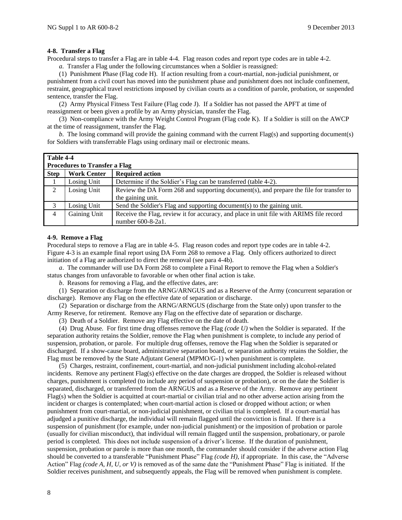#### **4-8. Transfer a Flag**

Procedural steps to transfer a Flag are in table 4-4. Flag reason codes and report type codes are in table 4-2.

*a.* Transfer a Flag under the following circumstances when a Soldier is reassigned:

(1) Punishment Phase (Flag code H). If action resulting from a court-martial, non-judicial punishment, or punishment from a civil court has moved into the punishment phase and punishment does not include confinement, restraint, geographical travel restrictions imposed by civilian courts as a condition of parole, probation, or suspended sentence, transfer the Flag.

(2) Army Physical Fitness Test Failure (Flag code J). If a Soldier has not passed the APFT at time of reassignment or been given a profile by an Army physician, transfer the Flag.

(3) Non-compliance with the Army Weight Control Program (Flag code K). If a Soldier is still on the AWCP at the time of reassignment, transfer the Flag.

*b.* The losing command will provide the gaining command with the current Flag(s) and supporting document(s) for Soldiers with transferrable Flags using ordinary mail or electronic means.

| Table 4-4   |                                      |                                                                                         |
|-------------|--------------------------------------|-----------------------------------------------------------------------------------------|
|             | <b>Procedures to Transfer a Flag</b> |                                                                                         |
| <b>Step</b> | <b>Work Center</b>                   | <b>Required action</b>                                                                  |
|             | Losing Unit                          | Determine if the Soldier's Flag can be transferred (table 4-2).                         |
| 2           | Losing Unit                          | Review the DA Form 268 and supporting document(s), and prepare the file for transfer to |
|             |                                      | the gaining unit.                                                                       |
| 3           | Losing Unit                          | Send the Soldier's Flag and supporting document(s) to the gaining unit.                 |
| 4           | Gaining Unit                         | Receive the Flag, review it for accuracy, and place in unit file with ARIMS file record |
|             |                                      | number 600-8-2a1.                                                                       |

#### **4-9. Remove a Flag**

Procedural steps to remove a Flag are in table 4-5. Flag reason codes and report type codes are in table 4-2. Figure 4-3 is an example final report using DA Form 268 to remove a Flag. Only officers authorized to direct initiation of a Flag are authorized to direct the removal (see para 4-4b).

*a*. The commander will use DA Form 268 to complete a Final Report to remove the Flag when a Soldier's status changes from unfavorable to favorable or when other final action is take.

*b*. Reasons for removing a Flag, and the effective dates, are:

(1) Separation or discharge from the ARNG/ARNGUS and as a Reserve of the Army (concurrent separation or discharge). Remove any Flag on the effective date of separation or discharge.

(2) Separation or discharge from the ARNG/ARNGUS (discharge from the State only) upon transfer to the Army Reserve, for retirement. Remove any Flag on the effective date of separation or discharge.

(3) Death of a Soldier. Remove any Flag effective on the date of death.

(4) Drug Abuse*.* For first time drug offenses remove the Flag *(code U)* when the Soldier is separated. If the separation authority retains the Soldier, remove the Flag when punishment is complete, to include any period of suspension, probation, or parole. For multiple drug offenses, remove the Flag when the Soldier is separated or discharged. If a show-cause board, administrative separation board, or separation authority retains the Soldier, the Flag must be removed by the State Adjutant General (MPMO/G-1) when punishment is complete.

(5) Charges, restraint, confinement, court-martial, and non-judicial punishment including alcohol-related incidents. Remove any pertinent Flag(s) effective on the date charges are dropped, the Soldier is released without charges, punishment is completed (to include any period of suspension or probation), or on the date the Soldier is separated, discharged, or transferred from the ARNGUS and as a Reserve of the Army. Remove any pertinent Flag(s) when the Soldier is acquitted at court-martial or civilian trial and no other adverse action arising from the incident or charges is contemplated; when court-martial action is closed or dropped without action; or when punishment from court-martial, or non-judicial punishment, or civilian trial is completed. If a court-martial has adjudged a punitive discharge, the individual will remain flagged until the conviction is final. If there is a suspension of punishment (for example, under non-judicial punishment) or the imposition of probation or parole (usually for civilian misconduct), that individual will remain flagged until the suspension, probationary, or parole period is completed. This does not include suspension of a driver's license. If the duration of punishment, suspension, probation or parole is more than one month, the commander should consider if the adverse action Flag should be converted to a transferable "Punishment Phase" Flag *(code H)*, if appropriate. In this case, the "Adverse Action" Flag *(code A, H, U, or V)* is removed as of the same date the "Punishment Phase" Flag is initiated. If the Soldier receives punishment, and subsequently appeals, the Flag will be removed when punishment is complete.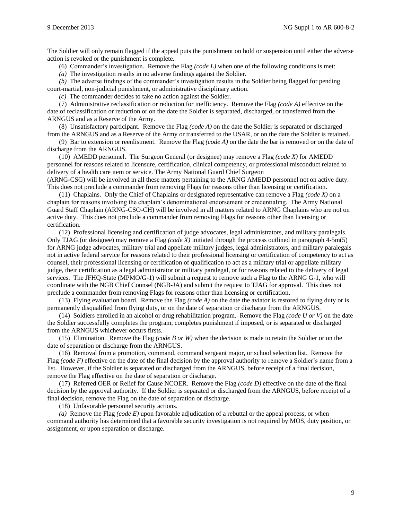The Soldier will only remain flagged if the appeal puts the punishment on hold or suspension until either the adverse action is revoked or the punishment is complete.

(6) Commander's investigation. Remove the Flag *(code L)* when one of the following conditions is met:

*(a)* The investigation results in no adverse findings against the Soldier.

*(b)* The adverse findings of the commander's investigation results in the Soldier being flagged for pending court-martial, non-judicial punishment, or administrative disciplinary action.

*(c)* The commander decides to take no action against the Soldier.

(7) Administrative reclassification or reduction for inefficiency. Remove the Flag *(code A)* effective on the date of reclassification or reduction or on the date the Soldier is separated, discharged, or transferred from the ARNGUS and as a Reserve of the Army.

(8) Unsatisfactory participant. Remove the Flag *(code A)* on the date the Soldier is separated or discharged from the ARNGUS and as a Reserve of the Army or transferred to the USAR, or on the date the Soldier is retained.

(9) Bar to extension or reenlistment. Remove the Flag *(code A)* on the date the bar is removed or on the date of discharge from the ARNGUS.

(10) AMEDD personnel. The Surgeon General (or designee) may remove a Flag *(code X)* for AMEDD personnel for reasons related to licensure, certification, clinical competency, or professional misconduct related to delivery of a health care item or service. The Army National Guard Chief Surgeon

(ARNG-CSG) will be involved in all these matters pertaining to the ARNG AMEDD personnel not on active duty. This does not preclude a commander from removing Flags for reasons other than licensing or certification.

(11) Chaplains. Only the Chief of Chaplains or designated representative can remove a Flag *(code X)* on a chaplain for reasons involving the chaplain's denominational endorsement or credentialing. The Army National Guard Staff Chaplain (ARNG-CSO-CH) will be involved in all matters related to ARNG Chaplains who are not on active duty. This does not preclude a commander from removing Flags for reasons other than licensing or certification.

(12) Professional licensing and certification of judge advocates, legal administrators, and military paralegals. Only TJAG (or designee) may remove a Flag *(code X)* initiated through the process outlined in paragraph 4-5m(5) for ARNG judge advocates, military trial and appellate military judges, legal administrators, and military paralegals not in active federal service for reasons related to their professional licensing or certification of competency to act as counsel, their professional licensing or certification of qualification to act as a military trial or appellate military judge, their certification as a legal administrator or military paralegal, or for reasons related to the delivery of legal services. The JFHQ-State (MPMO/G-1) will submit a request to remove such a Flag to the ARNG G-1, who will coordinate with the NGB Chief Counsel (NGB-JA) and submit the request to TJAG for approval. This does not preclude a commander from removing Flags for reasons other than licensing or certification.

(13) Flying evaluation board. Remove the Flag *(code A)* on the date the aviator is restored to flying duty or is permanently disqualified from flying duty, or on the date of separation or discharge from the ARNGUS.

(14) Soldiers enrolled in an alcohol or drug rehabilitation program. Remove the Flag *(code U or V)* on the date the Soldier successfully completes the program, completes punishment if imposed, or is separated or discharged from the ARNGUS whichever occurs firsts.

(15) Elimination. Remove the Flag *(code B or W)* when the decision is made to retain the Soldier or on the date of separation or discharge from the ARNGUS.

(16) Removal from a promotion, command, command sergeant major, or school selection list. Remove the Flag *(code F)* effective on the date of the final decision by the approval authority to remove a Soldier's name from a list. However, if the Soldier is separated or discharged from the ARNGUS, before receipt of a final decision, remove the Flag effective on the date of separation or discharge.

(17) Referred OER or Relief for Cause NCOER. Remove the Flag *(code D)* effective on the date of the final decision by the approval authority. If the Soldier is separated or discharged from the ARNGUS, before receipt of a final decision, remove the Flag on the date of separation or discharge.

(18) Unfavorable personnel security actions.

*(a)* Remove the Flag *(code E)* upon favorable adjudication of a rebuttal or the appeal process, or when command authority has determined that a favorable security investigation is not required by MOS, duty position, or assignment, or upon separation or discharge.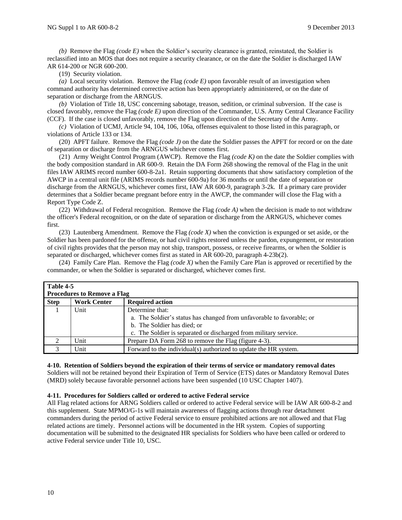*(b)* Remove the Flag *(code E)* when the Soldier's security clearance is granted, reinstated, the Soldier is reclassified into an MOS that does not require a security clearance, or on the date the Soldier is discharged IAW AR 614-200 or NGR 600-200.

(19) Security violation.

*(a)* Local security violation. Remove the Flag *(code E)* upon favorable result of an investigation when command authority has determined corrective action has been appropriately administered, or on the date of separation or discharge from the ARNGUS.

*(b)* Violation of Title 18, USC concerning sabotage, treason, sedition, or criminal subversion. If the case is closed favorably, remove the Flag *(code E)* upon direction of the Commander, U.S. Army Central Clearance Facility (CCF). If the case is closed unfavorably, remove the Flag upon direction of the Secretary of the Army.

*(c)* Violation of UCMJ, Article 94, 104, 106, 106a, offenses equivalent to those listed in this paragraph, or violations of Article 133 or 134.

(20) APFT failure. Remove the Flag *(code J)* on the date the Soldier passes the APFT for record or on the date of separation or discharge from the ARNGUS whichever comes first.

(21) Army Weight Control Program (AWCP). Remove the Flag *(code K)* on the date the Soldier complies with the body composition standard in AR 600-9. Retain the DA Form 268 showing the removal of the Flag in the unit files IAW ARIMS record number 600-8-2a1. Retain supporting documents that show satisfactory completion of the AWCP in a central unit file (ARIMS records number 600-9a) for 36 months or until the date of separation or discharge from the ARNGUS, whichever comes first, IAW AR 600-9, paragraph 3-2k. If a primary care provider determines that a Soldier became pregnant before entry in the AWCP, the commander will close the Flag with a Report Type Code Z.

(22) Withdrawal of Federal recognition. Remove the Flag *(code A)* when the decision is made to not withdraw the officer's Federal recognition, or on the date of separation or discharge from the ARNGUS, whichever comes first.

(23) Lautenberg Amendment. Remove the Flag *(code X)* when the conviction is expunged or set aside, or the Soldier has been pardoned for the offense, or had civil rights restored unless the pardon, expungement, or restoration of civil rights provides that the person may not ship, transport, possess, or receive firearms, or when the Soldier is separated or discharged, whichever comes first as stated in AR 600-20, paragraph 4-23b(2).

(24) Family Care Plan. Remove the Flag *(code X)* when the Family Care Plan is approved or recertified by the commander, or when the Soldier is separated or discharged, whichever comes first.

|             | Table 4-5<br><b>Procedures to Remove a Flag</b> |                                                                                                                                                                                             |  |  |  |
|-------------|-------------------------------------------------|---------------------------------------------------------------------------------------------------------------------------------------------------------------------------------------------|--|--|--|
| <b>Step</b> | <b>Work Center</b>                              | <b>Required action</b>                                                                                                                                                                      |  |  |  |
|             | Unit                                            | Determine that:<br>a. The Soldier's status has changed from unfavorable to favorable; or<br>b. The Soldier has died; or<br>c. The Soldier is separated or discharged from military service. |  |  |  |
| 2           | Unit                                            | Prepare DA Form 268 to remove the Flag (figure 4-3).                                                                                                                                        |  |  |  |
|             | Unit                                            | Forward to the individual(s) authorized to update the HR system.                                                                                                                            |  |  |  |

#### **4-10. Retention of Soldiers beyond the expiration of their terms of service or mandatory removal dates**

Soldiers will not be retained beyond their Expiration of Term of Service (ETS) dates or Mandatory Removal Dates (MRD) solely because favorable personnel actions have been suspended (10 USC Chapter 1407).

#### **4-11. Procedures for Soldiers called or ordered to active Federal service**

All Flag related actions for ARNG Soldiers called or ordered to active Federal service will be IAW AR 600-8-2 and this supplement. State MPMO/G-1s will maintain awareness of flagging actions through rear detachment commanders during the period of active Federal service to ensure prohibited actions are not allowed and that Flag related actions are timely. Personnel actions will be documented in the HR system. Copies of supporting documentation will be submitted to the designated HR specialists for Soldiers who have been called or ordered to active Federal service under Title 10, USC.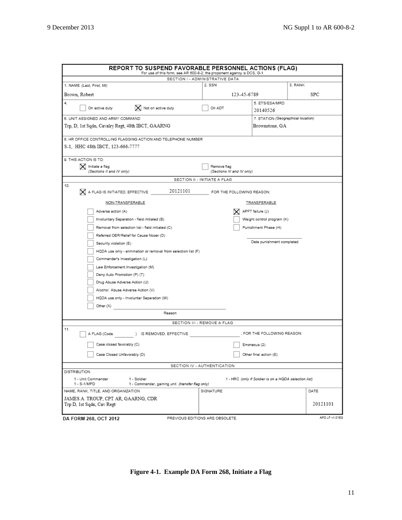| REPORT TO SUSPEND FAVORABLE PERSONNEL ACTIONS (FLAG)<br>For use of this form, see AR 600-8-2; the proponent agency is DCS, G-1. |                                           |                                                       |                |
|---------------------------------------------------------------------------------------------------------------------------------|-------------------------------------------|-------------------------------------------------------|----------------|
|                                                                                                                                 | SECTION I - ADMINISTRATIVE DATA           |                                                       |                |
| 1. NAME (Last, First, MI)                                                                                                       | 2. SSN                                    |                                                       | 3. RANK        |
| Brown, Robert                                                                                                                   | 123-45-6789                               |                                                       | SPC            |
| 4.<br>$\vert\mathsf{X}\vert$ Not on active duty<br>On active duty                                                               | On ADT                                    | 5. ETS/ESA/MRD<br>20140526                            |                |
| 6. UNIT ASSIGNED AND ARMY COMMAND                                                                                               |                                           | 7. STATION (Geographical location)                    |                |
| Trp, D, 1st Sqdn, Cavalry Regt, 48th IBCT, GAARNG                                                                               |                                           | Brownstone, GA                                        |                |
| 8. HR OFFICE CONTROLLING FLAGGING ACTION AND TELEPHONE NUMBER<br>S-1, HHC 48th IBCT, 123-666-7777                               |                                           |                                                       |                |
|                                                                                                                                 |                                           |                                                       |                |
| 9. THIS ACTION IS TO:<br>X Initiate a flag<br>(Sections II and IV only)                                                         | Remove flag<br>(Sections III and IV only) |                                                       |                |
| SECTION II - INITIATE A FLAG                                                                                                    |                                           |                                                       |                |
| 10.<br>20121101<br>X A FLAG IS INITIATED, EFFECTIVE                                                                             | FOR THE FOLLOWING REASON:                 |                                                       |                |
| NON-TRANSFERABLE                                                                                                                |                                           | TRANSFERABLE                                          |                |
| Adverse action (A)                                                                                                              |                                           | APFT failure (J)                                      |                |
| Involuntary Separation - field initiated (B)                                                                                    |                                           | Weight control program (K)                            |                |
| Removal from selection list - field initiated (C)                                                                               |                                           | Punishment Phase (H)                                  |                |
| Referred OER/Relief for Cause Nooer (D)                                                                                         |                                           |                                                       |                |
| Security violation (E)                                                                                                          |                                           | Date punishment completed                             |                |
| HQDA use only - elimination or removal from selection list (F)                                                                  |                                           |                                                       |                |
| Commander's Investigation (L)                                                                                                   |                                           |                                                       |                |
| Law Enforcement Investigation (M)                                                                                               |                                           |                                                       |                |
| Deny Auto Promotion (P) (T)                                                                                                     |                                           |                                                       |                |
| Drug Abuse Adverse Action (U)                                                                                                   |                                           |                                                       |                |
| Alcohol Abuse Adverse Action (V)                                                                                                |                                           |                                                       |                |
| HQDA use only - Involuntar Separation (W)                                                                                       |                                           |                                                       |                |
|                                                                                                                                 |                                           |                                                       |                |
| Other (X)<br>Reason                                                                                                             |                                           |                                                       |                |
| SECTION III - REMOVE A FLAG                                                                                                     |                                           |                                                       |                |
| 11.<br>A FLAG (Code<br>) IS REMOVED, EFFECTIVE                                                                                  |                                           | , FOR THE FOLLOWING REASON:                           |                |
| Case closed favorably (C)                                                                                                       |                                           | Erroneous (2)                                         |                |
| Case Closed Unfavorably (D)                                                                                                     |                                           | Other final action (E)                                |                |
| SECTION IV - AUTHENTICATION                                                                                                     |                                           |                                                       |                |
| <b>DISTRIBUTION</b><br>1 - Unit Commander<br>1 - Soldier<br>1 - Commander, gaining unit (transfer flag only)<br>1 - S-1/MPD     |                                           | 1 - HRC (only if Soldier is on a HQDA selection list) |                |
| NAME, RANK, TITLE, AND ORGANIZATION                                                                                             | SIGNATURE                                 |                                                       | DATE           |
| JAMES A. TROUP, CPT AR, GAARNG, CDR<br>Trp D, 1st Sqdn, Cav Regt                                                                |                                           |                                                       | 20121101       |
| DA FORM 268, OCT 2012<br>PREVIOUS EDITIONS ARE OBSOLETE.                                                                        |                                           |                                                       | APD LF v1.01ES |

**Figure 4-1. Example DA Form 268, Initiate a Flag**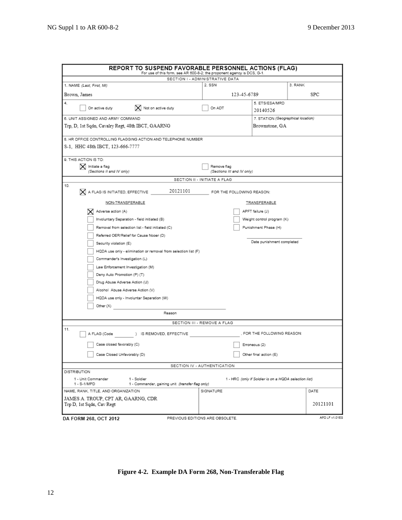| <b>REPORT TO SUSPEND FAVORABLE PERSONNEL ACTIONS (FLAG)</b>                                          |                                 |                                                       |                |
|------------------------------------------------------------------------------------------------------|---------------------------------|-------------------------------------------------------|----------------|
| For use of this form, see AR 600-8-2; the proponent agency is DCS, G-1.                              | SECTION I - ADMINISTRATIVE DATA |                                                       |                |
| 1. NAME (Last, First, Mi)                                                                            | 2. SSN                          |                                                       | 3. RANK        |
| Brown, James                                                                                         | 123-45-6789                     |                                                       | SPC            |
| 4.                                                                                                   |                                 | 5. ETS/ESA/MRD                                        |                |
| $\vert$ Not on active duty<br>On active duty                                                         | On ADT                          | 20140526                                              |                |
| 6. UNIT ASSIGNED AND ARMY COMMAND                                                                    |                                 | 7. STATION (Geographical location)                    |                |
| Trp, D, 1st Sqdn, Cavalry Regt, 48th IBCT, GAARNG                                                    |                                 | Brownstone, GA                                        |                |
| 8. HR OFFICE CONTROLLING FLAGGING ACTION AND TELEPHONE NUMBER                                        |                                 |                                                       |                |
| S-1,HHC 48th IBCT, 123-666-7777                                                                      |                                 |                                                       |                |
| 9. THIS ACTION IS TO:                                                                                |                                 |                                                       |                |
| X Initiate a flag                                                                                    | Remove flag                     |                                                       |                |
| (Sections II and IV only)                                                                            | (Sections III and IV only)      |                                                       |                |
|                                                                                                      | SECTION II - INITIATE A FLAG    |                                                       |                |
| 10.<br>20121101<br>$\times$ A FLAG IS INITIATED, EFFECTIVE                                           | FOR THE FOLLOWING REASON:       |                                                       |                |
| NON-TRANSFERABLE                                                                                     |                                 | TRANSFERABLE                                          |                |
| X Adverse action (A)                                                                                 |                                 | APFT failure (J)                                      |                |
| Involuntary Separation - field initiated (B)                                                         |                                 | Weight control program (K)                            |                |
| Removal from selection list - field initiated (C)                                                    |                                 | Punishment Phase (H)                                  |                |
| Referred OER/Relief for Cause Nooer (D)                                                              |                                 |                                                       |                |
| Security violation (E)                                                                               |                                 | Date punishment completed                             |                |
| HQDA use only - elimination or removal from selection list (F)                                       |                                 |                                                       |                |
| Commander's Investigation (L)                                                                        |                                 |                                                       |                |
|                                                                                                      |                                 |                                                       |                |
| Law Enforcement Investigation (M)                                                                    |                                 |                                                       |                |
| Deny Auto Promotion (P) (T)                                                                          |                                 |                                                       |                |
| Drug Abuse Adverse Action (U)                                                                        |                                 |                                                       |                |
| Alcohol Abuse Adverse Action (V)                                                                     |                                 |                                                       |                |
| HQDA use only - Involuntar Separation (W)                                                            |                                 |                                                       |                |
| Other (X)                                                                                            |                                 |                                                       |                |
| Reason                                                                                               |                                 |                                                       |                |
|                                                                                                      | SECTION III - REMOVE A FLAG     |                                                       |                |
| 11.<br>) IS REMOVED, EFFECTIVE<br>A FLAG (Code                                                       |                                 | , FOR THE FOLLOWING REASON:                           |                |
| Case closed favorably (C)                                                                            |                                 | Erroneous (2)                                         |                |
| Case Closed Unfavorably (D)                                                                          |                                 | Other final action (E)                                |                |
|                                                                                                      | SECTION IV - AUTHENTICATION     |                                                       |                |
| <b>DISTRIBUTION</b>                                                                                  |                                 |                                                       |                |
| 1 - Unit Commander<br>1 - Soldier<br>1 - S-1/MPD<br>1 - Commander, gaining unit (transfer flag only) |                                 | 1 - HRC (only if Soldier is on a HQDA selection list) |                |
| NAME, RANK, TITLE, AND ORGANIZATION                                                                  | SIGNATURE                       |                                                       | DATE           |
| JAMES A. TROUP, CPT AR, GAARNG, CDR<br>Trp D, 1st Sqdn, Cav Regt                                     |                                 |                                                       | 20121101       |
| DA FORM 268, OCT 2012                                                                                | PREVIOUS EDITIONS ARE OBSOLETE. |                                                       | APD LF v1.01ES |

**Figure 4-2. Example DA Form 268, Non-Transferable Flag**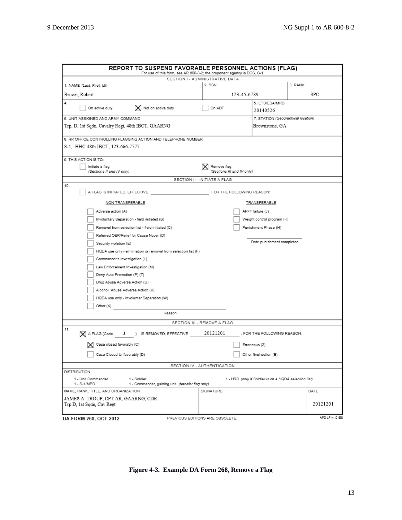| REPORT TO SUSPEND FAVORABLE PERSONNEL ACTIONS (FLAG)                                                 | For use of this form, see AR 600-8-2; the proponent agency is DCS, G-1. |                                                       |                |
|------------------------------------------------------------------------------------------------------|-------------------------------------------------------------------------|-------------------------------------------------------|----------------|
|                                                                                                      | SECTION I - ADMINISTRATIVE DATA                                         |                                                       |                |
| 1. NAME (Last, First, Mi)                                                                            | 2. SSN                                                                  |                                                       | 3. RANK        |
| Brown, Robert                                                                                        | 123-45-6789                                                             |                                                       | <b>SPC</b>     |
| 4.<br>$\vert$ Not on active duty<br>On active duty                                                   | On ADT                                                                  | 5. ETS/ESA/MRD<br>20140526                            |                |
| 6. UNIT ASSIGNED AND ARMY COMMAND                                                                    |                                                                         | 7. STATION (Geographical location)                    |                |
| Trp, D, 1st Sqdn, Cavalry Regt, 48th IBCT, GAARNG                                                    |                                                                         | Brownstone, GA                                        |                |
| 8. HR OFFICE CONTROLLING FLAGGING ACTION AND TELEPHONE NUMBER                                        |                                                                         |                                                       |                |
| S-1, HHC 48th IBCT, 123-666-7777                                                                     |                                                                         |                                                       |                |
| 9. THIS ACTION IS TO:                                                                                |                                                                         |                                                       |                |
| Initiate a flag                                                                                      | $\mathsf{\times}$ Remove flag                                           |                                                       |                |
| (Sections II and IV only)                                                                            | (Sections III and IV only)                                              |                                                       |                |
|                                                                                                      | SECTION II - INITIATE A FLAG                                            |                                                       |                |
| 10.<br>A FLAG IS INITIATED, EFFECTIVE                                                                | FOR THE FOLLOWING REASON:                                               |                                                       |                |
| NON-TRANSFERABLE                                                                                     |                                                                         | TRANSFERABLE                                          |                |
| Adverse action (A)                                                                                   |                                                                         | APFT failure (J)                                      |                |
| Involuntary Separation - field initiated (B)                                                         |                                                                         | Weight control program (K)                            |                |
| Removal from selection list - field initiated (C)                                                    |                                                                         | Punishment Phase (H)                                  |                |
| Referred OER/Relief for Cause Nooer (D)                                                              |                                                                         |                                                       |                |
| Security violation (E)                                                                               |                                                                         | Date punishment completed                             |                |
|                                                                                                      |                                                                         |                                                       |                |
| HQDA use only - elimination or removal from selection list (F)                                       |                                                                         |                                                       |                |
| Commander's Investigation (L)                                                                        |                                                                         |                                                       |                |
| Law Enforcement Investigation (M)                                                                    |                                                                         |                                                       |                |
| Deny Auto Promotion (P) (T)                                                                          |                                                                         |                                                       |                |
| Drug Abuse Adverse Action (U)                                                                        |                                                                         |                                                       |                |
| Alcohol Abuse Adverse Action (V)                                                                     |                                                                         |                                                       |                |
| HQDA use only - Involuntar Separation (W)                                                            |                                                                         |                                                       |                |
| Other $(X)$                                                                                          |                                                                         |                                                       |                |
| Reason                                                                                               |                                                                         |                                                       |                |
|                                                                                                      | SECTION III - REMOVE A FLAG                                             |                                                       |                |
| 11.<br>$\mathbb X$ A FLAG (Code<br>$J$ ) IS REMOVED, EFFECTIVE                                       | 20121201                                                                | , FOR THE FOLLOWING REASON:                           |                |
| $\mathbf{\nabla}$ Case closed favorably (C)                                                          |                                                                         | Erroneous (2)                                         |                |
| Case Closed Unfavorably (D)                                                                          |                                                                         | Other final action (E)                                |                |
|                                                                                                      | SECTION IV - AUTHENTICATION                                             |                                                       |                |
| DISTRIBUTION                                                                                         |                                                                         |                                                       |                |
| 1 - Unit Commander<br>1 - Soldier<br>1 - S-1/MPD<br>1 - Commander, gaining unit (transfer flag only) |                                                                         | 1 - HRC (only if Soldier is on a HQDA selection list) |                |
| NAME, RANK, TITLE, AND ORGANIZATION                                                                  | SIGNATURE                                                               |                                                       | DATE           |
| JAMES A. TROUP, CPT AR, GAARNG, CDR<br>Trp D, 1st Sqdn, Cav Regt                                     |                                                                         |                                                       | 20121201       |
| DA FORM 268, OCT 2012                                                                                | PREVIOUS EDITIONS ARE OBSOLETE.                                         |                                                       | APD LF v1.01ES |

**Figure 4-3. Example DA Form 268, Remove a Flag**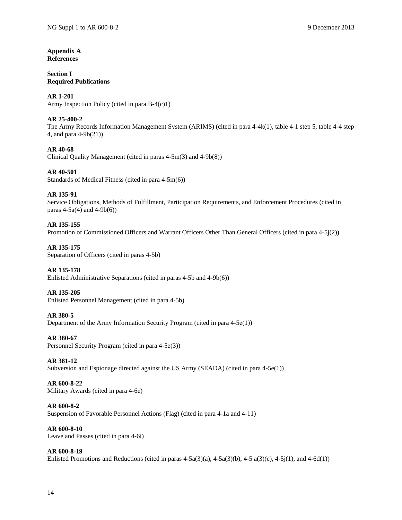#### **Appendix A References**

#### **Section I Required Publications**

#### **AR 1-201** Army Inspection Policy (cited in para B-4(c)1)

#### **AR 25-400-2**

The Army Records Information Management System (ARIMS) (cited in para 4-4k(1), table 4-1 step 5, table 4-4 step 4, and para 4-9b(21))

#### **AR 40-68**

Clinical Quality Management (cited in paras 4-5m(3) and 4-9b(8))

#### **AR 40-501**

Standards of Medical Fitness (cited in para 4-5m(6))

#### **AR 135-91**

#### Service Obligations, Methods of Fulfillment, Participation Requirements, and Enforcement Procedures (cited in paras  $4-5a(4)$  and  $4-9b(6)$ )

#### **AR 135-155**

Promotion of Commissioned Officers and Warrant Officers Other Than General Officers (cited in para 4-5j(2))

#### **AR 135-175**

Separation of Officers (cited in paras 4-5b)

#### **AR 135-178**

Enlisted Administrative Separations (cited in paras 4-5b and 4-9b(6))

#### **AR 135-205**

Enlisted Personnel Management (cited in para 4-5b)

#### **AR 380-5**

Department of the Army Information Security Program (cited in para 4-5e(1))

#### **AR 380-67**

Personnel Security Program (cited in para 4-5e(3))

#### **AR 381-12**

Subversion and Espionage directed against the US Army (SEADA) (cited in para 4-5e(1))

#### **AR 600-8-22**

Military Awards (cited in para 4-6e)

#### **AR 600-8-2**

Suspension of Favorable Personnel Actions (Flag) (cited in para 4-1a and 4-11)

#### **AR 600-8-10**

Leave and Passes (cited in para 4-6i)

#### **AR 600-8-19**

Enlisted Promotions and Reductions (cited in paras  $4-5a(3)(a)$ ,  $4-5a(3)(b)$ ,  $4-5a(3)(c)$ ,  $4-5j(1)$ , and  $4-6d(1)$ )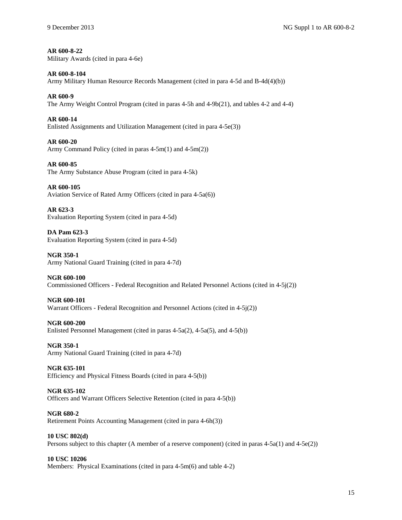#### **AR 600-8-22**

Military Awards (cited in para 4-6e)

#### **AR 600-8-104**

Army Military Human Resource Records Management (cited in para 4-5d and B-4d(4)(b))

#### **AR 600-9**

The Army Weight Control Program (cited in paras 4-5h and 4-9b(21), and tables 4-2 and 4-4)

#### **AR 600-14**

Enlisted Assignments and Utilization Management (cited in para 4-5e(3))

#### **AR 600-20**

Army Command Policy (cited in paras 4-5m(1) and 4-5m(2))

#### **AR 600-85**

The Army Substance Abuse Program (cited in para 4-5k)

#### **AR 600-105**

Aviation Service of Rated Army Officers (cited in para 4-5a(6))

#### **AR 623-3** Evaluation Reporting System (cited in para 4-5d)

**DA Pam 623-3** Evaluation Reporting System (cited in para 4-5d)

#### **NGR 350-1** Army National Guard Training (cited in para 4-7d)

#### **NGR 600-100** Commissioned Officers - Federal Recognition and Related Personnel Actions (cited in 4-5j(2))

### **NGR 600-101**

Warrant Officers - Federal Recognition and Personnel Actions (cited in 4-5j(2))

#### **NGR 600-200**

Enlisted Personnel Management (cited in paras 4-5a(2), 4-5a(5), and 4-5(b))

#### **NGR 350-1**

Army National Guard Training (cited in para 4-7d)

#### **NGR 635-101**

Efficiency and Physical Fitness Boards (cited in para 4-5(b))

#### **NGR 635-102**

Officers and Warrant Officers Selective Retention (cited in para 4-5(b))

#### **NGR 680-2**

Retirement Points Accounting Management (cited in para 4-6h(3))

#### **10 USC 802(d)**

Persons subject to this chapter (A member of a reserve component) (cited in paras 4-5a(1) and 4-5e(2))

#### **10 USC 10206**

Members: Physical Examinations (cited in para 4-5m(6) and table 4-2)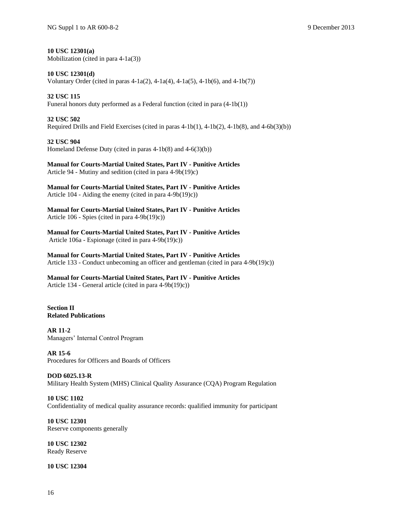**10 USC 12301(a)** Mobilization (cited in para  $4-1a(3)$ )

**10 USC 12301(d)** Voluntary Order (cited in paras 4-1a(2), 4-1a(4), 4-1a(5), 4-1b(6), and 4-1b(7))

**32 USC 115** Funeral honors duty performed as a Federal function (cited in para (4-1b(1))

**32 USC 502** Required Drills and Field Exercises (cited in paras 4-1b(1), 4-1b(2), 4-1b(8), and 4-6b(3)(b))

**32 USC 904** Homeland Defense Duty (cited in paras 4-1b(8) and 4-6(3)(b))

**Manual for Courts-Martial United States, Part IV - Punitive Articles** Article 94 - Mutiny and sedition (cited in para 4-9b(19)c)

**Manual for Courts-Martial United States, Part IV - Punitive Articles** Article 104 - Aiding the enemy (cited in para 4-9b(19)c))

**Manual for Courts-Martial United States, Part IV - Punitive Articles** Article 106 - Spies (cited in para 4-9b(19)c))

**Manual for Courts-Martial United States, Part IV - Punitive Articles** Article 106a - Espionage (cited in para 4-9b(19)c))

**Manual for Courts-Martial United States, Part IV - Punitive Articles** Article 133 - Conduct unbecoming an officer and gentleman (cited in para 4-9b(19)c))

**Manual for Courts-Martial United States, Part IV - Punitive Articles** Article 134 - General article (cited in para 4-9b(19)c))

**Section II Related Publications**

**AR 11-2** Managers' Internal Control Program

**AR 15-6** Procedures for Officers and Boards of Officers

**DOD 6025.13-R** Military Health System (MHS) Clinical Quality Assurance (CQA) Program Regulation

**10 USC 1102** Confidentiality of medical quality assurance records: qualified immunity for participant

**10 USC 12301** Reserve components generally

**10 USC 12302** Ready Reserve

**10 USC 12304**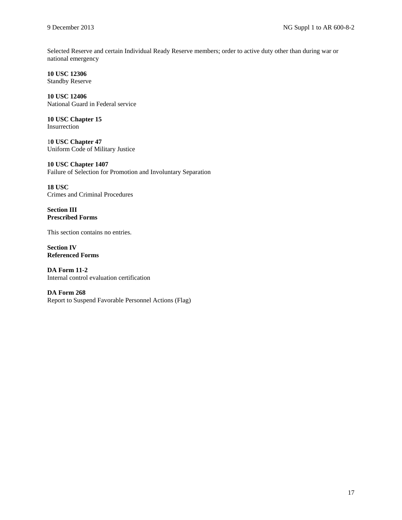Selected Reserve and certain Individual Ready Reserve members; order to active duty other than during war or national emergency

**10 USC 12306** Standby Reserve

**10 USC 12406** National Guard in Federal service

**10 USC Chapter 15** Insurrection

1**0 USC Chapter 47** Uniform Code of Military Justice

**10 USC Chapter 1407** Failure of Selection for Promotion and Involuntary Separation

**18 USC** Crimes and Criminal Procedures

**Section III Prescribed Forms**

This section contains no entries.

**Section IV Referenced Forms**

**DA Form 11-2** Internal control evaluation certification

**DA Form 268** Report to Suspend Favorable Personnel Actions (Flag)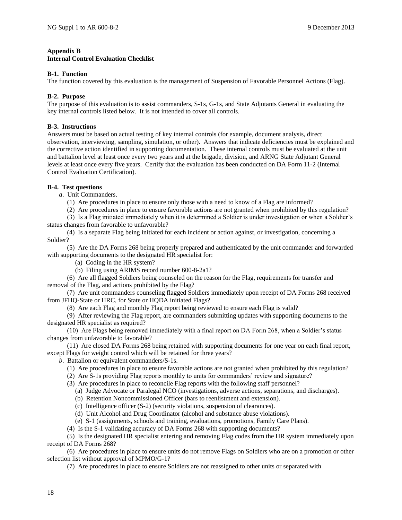#### **Appendix B**

#### **Internal Control Evaluation Checklist**

#### **B-1. Function**

The function covered by this evaluation is the management of Suspension of Favorable Personnel Actions (Flag).

#### **B-2. Purpose**

The purpose of this evaluation is to assist commanders, S-1s, G-1s, and State Adjutants General in evaluating the key internal controls listed below. It is not intended to cover all controls.

#### **B-3. Instructions**

Answers must be based on actual testing of key internal controls (for example, document analysis, direct observation, interviewing, sampling, simulation, or other). Answers that indicate deficiencies must be explained and the corrective action identified in supporting documentation. These internal controls must be evaluated at the unit and battalion level at least once every two years and at the brigade, division, and ARNG State Adjutant General levels at least once every five years. Certify that the evaluation has been conducted on DA Form 11-2 (Internal Control Evaluation Certification).

#### **B-4. Test questions**

*a*. Unit Commanders.

- (1) Are procedures in place to ensure only those with a need to know of a Flag are informed?
- (2) Are procedures in place to ensure favorable actions are not granted when prohibited by this regulation?
- (3) Is a Flag initiated immediately when it is determined a Soldier is under investigation or when a Soldier's status changes from favorable to unfavorable?
- (4) Is a separate Flag being initiated for each incident or action against, or investigation, concerning a Soldier?

(5) Are the DA Forms 268 being properly prepared and authenticated by the unit commander and forwarded with supporting documents to the designated HR specialist for:

(a) Coding in the HR system?

(b) Filing using ARIMS record number 600-8-2a1?

(6) Are all flagged Soldiers being counseled on the reason for the Flag, requirements for transfer and removal of the Flag, and actions prohibited by the Flag?

(7) Are unit commanders counseling flagged Soldiers immediately upon receipt of DA Forms 268 received from JFHQ-State or HRC, for State or HQDA initiated Flags?

(8) Are each Flag and monthly Flag report being reviewed to ensure each Flag is valid?

(9) After reviewing the Flag report, are commanders submitting updates with supporting documents to the designated HR specialist as required?

(10) Are Flags being removed immediately with a final report on DA Form 268, when a Soldier's status changes from unfavorable to favorable?

(11) Are closed DA Forms 268 being retained with supporting documents for one year on each final report, except Flags for weight control which will be retained for three years?

*b*. Battalion or equivalent commanders/S-1s.

- (1) Are procedures in place to ensure favorable actions are not granted when prohibited by this regulation?
- (2) Are S-1s providing Flag reports monthly to units for commanders' review and signature?
- (3) Are procedures in place to reconcile Flag reports with the following staff personnel?
	- (a) Judge Advocate or Paralegal NCO (investigations, adverse actions, separations, and discharges).
	- (b) Retention Noncommissioned Officer (bars to reenlistment and extension).
	- (c) Intelligence officer (S-2) (security violations, suspension of clearances).
	- (d) Unit Alcohol and Drug Coordinator (alcohol and substance abuse violations).
- (e) S-1 (assignments, schools and training, evaluations, promotions, Family Care Plans).
- (4) Is the S-1 validating accuracy of DA Forms 268 with supporting documents?

(5) Is the designated HR specialist entering and removing Flag codes from the HR system immediately upon receipt of DA Forms 268?

(6) Are procedures in place to ensure units do not remove Flags on Soldiers who are on a promotion or other selection list without approval of MPMO/G-1?

(7) Are procedures in place to ensure Soldiers are not reassigned to other units or separated with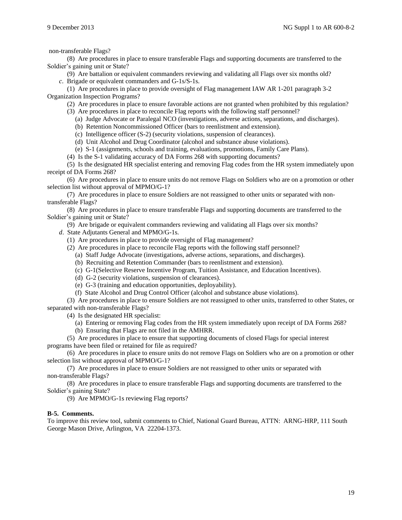non-transferable Flags?

(8) Are procedures in place to ensure transferable Flags and supporting documents are transferred to the Soldier's gaining unit or State?

(9) Are battalion or equivalent commanders reviewing and validating all Flags over six months old? *c*. Brigade or equivalent commanders and G-1s/S-1s.

(1) Are procedures in place to provide oversight of Flag management IAW AR 1-201 paragraph 3-2 Organization Inspection Programs?

(2) Are procedures in place to ensure favorable actions are not granted when prohibited by this regulation?

- (3) Are procedures in place to reconcile Flag reports with the following staff personnel?
	- (a) Judge Advocate or Paralegal NCO (investigations, adverse actions, separations, and discharges).
	- (b) Retention Noncommissioned Officer (bars to reenlistment and extension).
	- (c) Intelligence officer (S-2) (security violations, suspension of clearances).
	- (d) Unit Alcohol and Drug Coordinator (alcohol and substance abuse violations).
	- (e) S-1 (assignments, schools and training, evaluations, promotions, Family Care Plans).
- (4) Is the S-1 validating accuracy of DA Forms 268 with supporting documents?

(5) Is the designated HR specialist entering and removing Flag codes from the HR system immediately upon receipt of DA Forms 268?

(6) Are procedures in place to ensure units do not remove Flags on Soldiers who are on a promotion or other selection list without approval of MPMO/G-1?

(7) Are procedures in place to ensure Soldiers are not reassigned to other units or separated with nontransferable Flags?

(8) Are procedures in place to ensure transferable Flags and supporting documents are transferred to the Soldier's gaining unit or State?

(9) Are brigade or equivalent commanders reviewing and validating all Flags over six months?

- *d*. State Adjutants General and MPMO/G-1s.
	- (1) Are procedures in place to provide oversight of Flag management?
	- (2) Are procedures in place to reconcile Flag reports with the following staff personnel?
		- (a) Staff Judge Advocate (investigations, adverse actions, separations, and discharges).
		- (b) Recruiting and Retention Commander (bars to reenlistment and extension).
		- (c) G-1(Selective Reserve Incentive Program, Tuition Assistance, and Education Incentives).
		- (d) G-2 (security violations, suspension of clearances).
		- (e) G-3 (training and education opportunities, deployability).
		- (f) State Alcohol and Drug Control Officer (alcohol and substance abuse violations).

(3) Are procedures in place to ensure Soldiers are not reassigned to other units, transferred to other States, or separated with non-transferable Flags?

(4) Is the designated HR specialist:

- (a) Entering or removing Flag codes from the HR system immediately upon receipt of DA Forms 268?
- (b) Ensuring that Flags are not filed in the AMHRR.

(5) Are procedures in place to ensure that supporting documents of closed Flags for special interest programs have been filed or retained for file as required?

(6) Are procedures in place to ensure units do not remove Flags on Soldiers who are on a promotion or other selection list without approval of MPMO/G-1?

(7) Are procedures in place to ensure Soldiers are not reassigned to other units or separated with non-transferable Flags?

(8) Are procedures in place to ensure transferable Flags and supporting documents are transferred to the Soldier's gaining State?

(9) Are MPMO/G-1s reviewing Flag reports?

#### **B-5. Comments.**

To improve this review tool, submit comments to Chief, National Guard Bureau, ATTN: ARNG-HRP, 111 South George Mason Drive, Arlington, VA 22204-1373.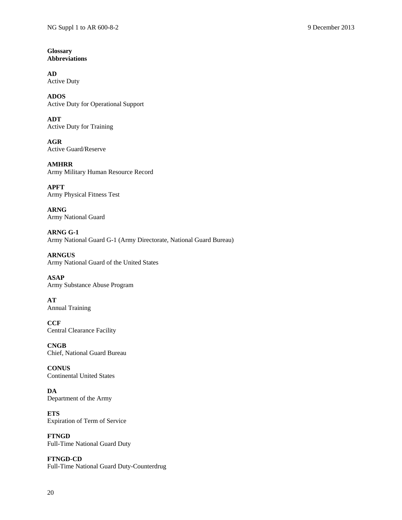**Glossary Abbreviations**

**AD** Active Duty

**ADOS** Active Duty for Operational Support

**ADT** Active Duty for Training

**AGR** Active Guard/Reserve

**AMHRR** Army Military Human Resource Record

**APFT** Army Physical Fitness Test

**ARNG** Army National Guard

**ARNG G-1** Army National Guard G-1 (Army Directorate, National Guard Bureau)

**ARNGUS** Army National Guard of the United States

**ASAP** Army Substance Abuse Program

**AT** Annual Training

**CCF** Central Clearance Facility

**CNGB** Chief, National Guard Bureau

**CONUS** Continental United States

**DA** Department of the Army

**ETS** Expiration of Term of Service

**FTNGD** Full-Time National Guard Duty

**FTNGD-CD** Full-Time National Guard Duty-Counterdrug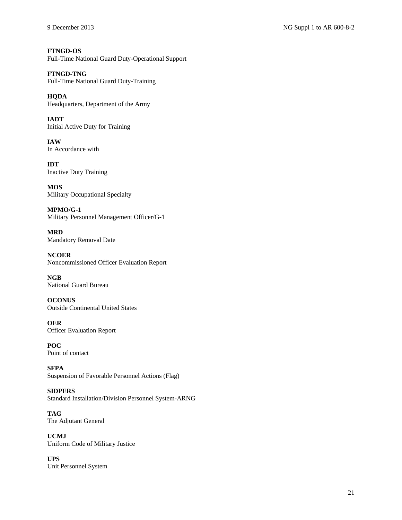**FTNGD-OS** Full-Time National Guard Duty-Operational Support

**FTNGD-TNG** Full-Time National Guard Duty-Training

**HQDA** Headquarters, Department of the Army

**IADT** Initial Active Duty for Training

**IAW** In Accordance with

**IDT** Inactive Duty Training

**MOS** Military Occupational Specialty

**MPMO/G-1** Military Personnel Management Officer/G-1

**MRD** Mandatory Removal Date

**NCOER** Noncommissioned Officer Evaluation Report

**NGB** National Guard Bureau

**OCONUS** Outside Continental United States

**OER** Officer Evaluation Report

**POC** Point of contact

**SFPA** Suspension of Favorable Personnel Actions (Flag)

**SIDPERS** Standard Installation/Division Personnel System-ARNG

**TAG** The Adjutant General

**UCMJ** Uniform Code of Military Justice

**UPS** Unit Personnel System